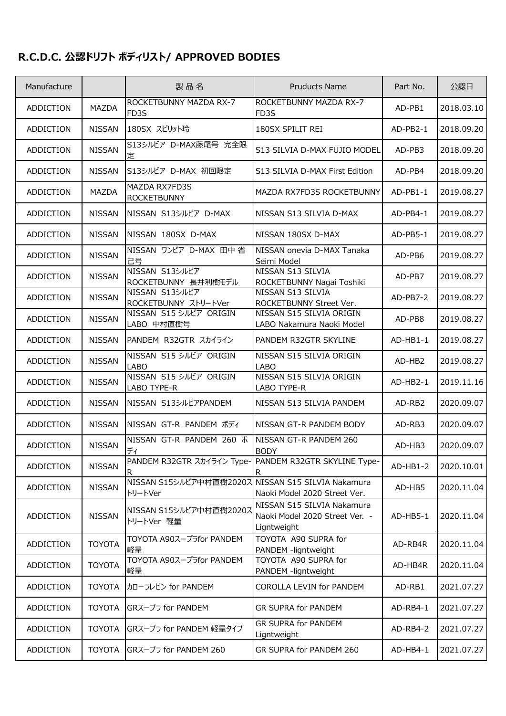## **R.C.D.C. 公認ドリフト ボディリスト/ APPROVED BODIES**

| Manufacture      |               | 製品名                                                           | <b>Pruducts Name</b>                                                        | Part No.   | 公認日        |
|------------------|---------------|---------------------------------------------------------------|-----------------------------------------------------------------------------|------------|------------|
| <b>ADDICTION</b> | MAZDA         | ROCKETBUNNY MAZDA RX-7<br>FD3S                                | ROCKETBUNNY MAZDA RX-7<br>FD3S                                              | AD-PB1     | 2018.03.10 |
| ADDICTION        | <b>NISSAN</b> | 180SX スピリット玲                                                  | 180SX SPILIT REI                                                            | $AD-PB2-1$ | 2018.09.20 |
| ADDICTION        | <b>NISSAN</b> | S13シルビア D-MAX藤尾号 完全限<br>定                                     | S13 SILVIA D-MAX FUJIO MODEL                                                | AD-PB3     | 2018.09.20 |
| ADDICTION        | <b>NISSAN</b> | S13シルビア D-MAX 初回限定                                            | S13 SILVIA D-MAX First Edition                                              | AD-PB4     | 2018.09.20 |
| ADDICTION        | MAZDA         | MAZDA RX7FD3S<br><b>ROCKETBUNNY</b>                           | MAZDA RX7FD3S ROCKETBUNNY                                                   | $AD-PB1-1$ | 2019.08.27 |
| ADDICTION        | <b>NISSAN</b> | NISSAN S13シルビア D-MAX                                          | NISSAN S13 SILVIA D-MAX                                                     | AD-PB4-1   | 2019.08.27 |
| ADDICTION        | <b>NISSAN</b> | NISSAN 180SX D-MAX                                            | NISSAN 180SX D-MAX                                                          | AD-PB5-1   | 2019.08.27 |
| ADDICTION        | <b>NISSAN</b> | NISSAN ワンビア D-MAX 田中省<br>己号                                   | NISSAN onevia D-MAX Tanaka<br>Seimi Model                                   | AD-PB6     | 2019.08.27 |
| <b>ADDICTION</b> | <b>NISSAN</b> | NISSAN S13シルビア<br>ROCKETBUNNY 長井利樹モデル                         | NISSAN S13 SILVIA<br>ROCKETBUNNY Nagai Toshiki                              | AD-PB7     | 2019.08.27 |
| ADDICTION        | <b>NISSAN</b> | NISSAN S13シルビア<br>ROCKETBUNNY ストリートVer                        | NISSAN S13 SILVIA<br>ROCKETBUNNY Street Ver.                                | $AD-PB7-2$ | 2019.08.27 |
| ADDICTION        | <b>NISSAN</b> | NISSAN S15 シルビア ORIGIN<br>LABO 中村直樹号                          | NISSAN S15 SILVIA ORIGIN<br>LABO Nakamura Naoki Model                       | AD-PB8     | 2019.08.27 |
| ADDICTION        | <b>NISSAN</b> | PANDEM R32GTR スカイライン                                          | PANDEM R32GTR SKYLINE                                                       | AD-HB1-1   | 2019.08.27 |
| ADDICTION        | <b>NISSAN</b> | NISSAN S15 シルビア ORIGIN<br><b>LABO</b>                         | NISSAN S15 SILVIA ORIGIN<br><b>LABO</b>                                     | AD-HB2     | 2019.08.27 |
| ADDICTION        | <b>NISSAN</b> | NISSAN S15 シルビア ORIGIN<br>LABO TYPE-R                         | NISSAN S15 SILVIA ORIGIN<br>LABO TYPE-R                                     | $AD-HB2-1$ | 2019.11.16 |
| ADDICTION        | <b>NISSAN</b> | NISSAN S13シルビアPANDEM                                          | NISSAN S13 SILVIA PANDEM                                                    | AD-RB2     | 2020.09.07 |
| ADDICTION        | <b>NISSAN</b> | NISSAN GT-R PANDEM ボディ                                        | NISSAN GT-R PANDEM BODY                                                     | AD-RB3     | 2020.09.07 |
| <b>ADDICTION</b> | <b>NISSAN</b> | NISSAN GT-R PANDEM 260 ボ<br>ディ                                | NISSAN GT-R PANDEM 260<br><b>BODY</b>                                       | AD-HB3     | 2020.09.07 |
| ADDICTION        | <b>NISSAN</b> | R                                                             | PANDEM R32GTR スカイライン Type- PANDEM R32GTR SKYLINE Type-                      | AD-HB1-2   | 2020.10.01 |
| <b>ADDICTION</b> | <b>NISSAN</b> | NISSAN S15シルビア中村直樹2020ス NISSAN S15 SILVIA Nakamura<br>トリートVer | Naoki Model 2020 Street Ver.                                                | AD-HB5     | 2020.11.04 |
| ADDICTION        | <b>NISSAN</b> | NISSAN S15シルビア中村直樹20207<br>トリートVer 軽量                         | NISSAN S15 SILVIA Nakamura<br>Naoki Model 2020 Street Ver. -<br>Ligntweight | AD-HB5-1   | 2020.11.04 |
| ADDICTION        | <b>TOYOTA</b> | TOYOTA A90スープラfor PANDEM<br>軽量                                | TOYOTA A90 SUPRA for<br>PANDEM -ligntweight                                 | AD-RB4R    | 2020.11.04 |
| ADDICTION        | <b>TOYOTA</b> | TOYOTA A90スープラfor PANDEM<br>軽量                                | TOYOTA A90 SUPRA for<br>PANDEM -ligntweight                                 | AD-HB4R    | 2020.11.04 |
| ADDICTION        | <b>TOYOTA</b> | カローラレビン for PANDEM                                            | COROLLA LEVIN for PANDEM                                                    | AD-RB1     | 2021.07.27 |
| ADDICTION        | <b>TOYOTA</b> | GRスープラ for PANDEM                                             | GR SUPRA for PANDEM                                                         | AD-RB4-1   | 2021.07.27 |
| ADDICTION        | <b>TOYOTA</b> | GRスープラ for PANDEM 軽量タイプ                                       | GR SUPRA for PANDEM<br>Ligntweight                                          | AD-RB4-2   | 2021.07.27 |
| ADDICTION        | <b>TOYOTA</b> | GRスープラ for PANDEM 260                                         | GR SUPRA for PANDEM 260                                                     | AD-HB4-1   | 2021.07.27 |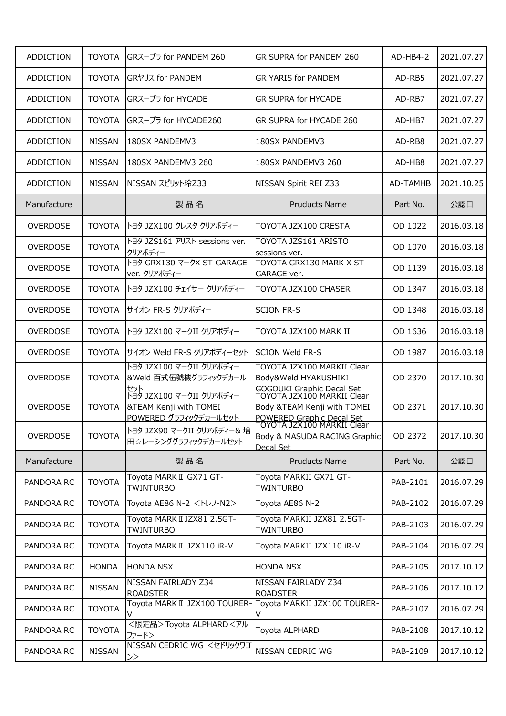| <b>ADDICTION</b> | <b>TOYOTA</b> | GRスープラ for PANDEM 260                                                                         | GR SUPRA for PANDEM 260                                                                                                        | AD-HB4-2 | 2021.07.27 |
|------------------|---------------|-----------------------------------------------------------------------------------------------|--------------------------------------------------------------------------------------------------------------------------------|----------|------------|
| <b>ADDICTION</b> | <b>TOYOTA</b> | GRヤリス for PANDEM                                                                              | <b>GR YARIS for PANDEM</b>                                                                                                     | AD-RB5   | 2021.07.27 |
| <b>ADDICTION</b> | <b>TOYOTA</b> | GRスープラ for HYCADE                                                                             | <b>GR SUPRA for HYCADE</b>                                                                                                     | AD-RB7   | 2021.07.27 |
| ADDICTION        | <b>TOYOTA</b> | GRスープラ for HYCADE260                                                                          | GR SUPRA for HYCADE 260                                                                                                        | AD-HB7   | 2021.07.27 |
| <b>ADDICTION</b> | <b>NISSAN</b> | 180SX PANDEMV3                                                                                | 180SX PANDEMV3                                                                                                                 | AD-RB8   | 2021.07.27 |
| <b>ADDICTION</b> | <b>NISSAN</b> | 180SX PANDEMV3 260                                                                            | 180SX PANDEMV3 260                                                                                                             | AD-HB8   | 2021.07.27 |
| <b>ADDICTION</b> | <b>NISSAN</b> | NISSAN スピリット玲Z33                                                                              | NISSAN Spirit REI Z33                                                                                                          | AD-TAMHB | 2021.10.25 |
| Manufacture      |               | 製品名                                                                                           | <b>Pruducts Name</b>                                                                                                           | Part No. | 公認日        |
| <b>OVERDOSE</b>  | <b>TOYOTA</b> | トヨタ JZX100 クレスタ クリアボディー                                                                       | TOYOTA JZX100 CRESTA                                                                                                           | OD 1022  | 2016.03.18 |
| <b>OVERDOSE</b>  | <b>TOYOTA</b> | トヨタ JZS161 アリスト sessions ver.<br>クリアボディー                                                      | TOYOTA JZS161 ARISTO<br>sessions ver.                                                                                          | OD 1070  | 2016.03.18 |
| <b>OVERDOSE</b>  | <b>TOYOTA</b> | トヨタ GRX130 マークX ST-GARAGE<br>ver. クリアボディー                                                     | TOYOTA GRX130 MARK X ST-<br>GARAGE ver.                                                                                        | OD 1139  | 2016.03.18 |
| <b>OVERDOSE</b>  | <b>TOYOTA</b> | トヨタ JZX100 チェイサー クリアボディー                                                                      | TOYOTA JZX100 CHASER                                                                                                           | OD 1347  | 2016.03.18 |
| <b>OVERDOSE</b>  | <b>TOYOTA</b> | サイオン FR-S クリアボディー                                                                             | <b>SCION FR-S</b>                                                                                                              | OD 1348  | 2016.03.18 |
| OVERDOSE         | <b>TOYOTA</b> | トヨタ JZX100 マークII クリアボディー                                                                      | TOYOTA JZX100 MARK II                                                                                                          | OD 1636  | 2016.03.18 |
| <b>OVERDOSE</b>  | <b>TOYOTA</b> | サイオン Weld FR-S クリアボディーセット                                                                     | <b>SCION Weld FR-S</b>                                                                                                         | OD 1987  | 2016.03.18 |
| <b>OVERDOSE</b>  | <b>TOYOTA</b> | トヨタ JZX100 マークII クリアボディー<br>&Weld 百式伍號機グラフィックデカール                                             | TOYOTA JZX100 MARKII Clear<br>Body&Weld HYAKUSHIKI<br><b>GOGOUKI Graphic Decal Set</b>                                         | OD 2370  | 2017.10.30 |
| OVERDOSE         | <b>TOYOTA</b> | セット<br>トヨタ JZX100 マークII クリアボディー<br><b>&amp;TEAM Kenji with TOMEI</b><br>POWERED グラフィックデカールセット | TOYOTA JZX100 MARKII Clear<br>Body &TEAM Kenji with TOMEI<br><b>IPOWERED Graphic Decal Set<br/> TOYOTA JZX100 MARKII Clear</b> | OD 2371  | 2017.10.30 |
| <b>OVERDOSE</b>  | <b>TOYOTA</b> | トヨタ JZX90 マークII クリアボディー& 増<br>田☆レーシンググラフィックデカールセット                                            | Body & MASUDA RACING Graphic<br>Decal Set                                                                                      | OD 2372  | 2017.10.30 |
| Manufacture      |               | 製品名                                                                                           | <b>Pruducts Name</b>                                                                                                           | Part No. | 公認日        |
| PANDORA RC       | <b>TOYOTA</b> | Toyota MARK II GX71 GT-<br><b>TWINTURBO</b>                                                   | Toyota MARKII GX71 GT-<br><b>TWINTURBO</b>                                                                                     | PAB-2101 | 2016.07.29 |
| PANDORA RC       | <b>TOYOTA</b> | Toyota AE86 N-2 < N-J-N2>                                                                     | Toyota AE86 N-2                                                                                                                | PAB-2102 | 2016.07.29 |
| PANDORA RC       | <b>TOYOTA</b> | Toyota MARK II JZX81 2.5GT-<br><b>TWINTURBO</b>                                               | Toyota MARKII JZX81 2.5GT-<br><b>TWINTURBO</b>                                                                                 | PAB-2103 | 2016.07.29 |
| PANDORA RC       | <b>TOYOTA</b> | Toyota MARK II JZX110 iR-V                                                                    | Toyota MARKII JZX110 iR-V                                                                                                      | PAB-2104 | 2016.07.29 |
| PANDORA RC       | <b>HONDA</b>  | <b>HONDA NSX</b>                                                                              | <b>HONDA NSX</b>                                                                                                               | PAB-2105 | 2017.10.12 |
| PANDORA RC       | <b>NISSAN</b> | NISSAN FAIRLADY Z34<br><b>ROADSTER</b>                                                        | NISSAN FAIRLADY Z34<br><b>ROADSTER</b>                                                                                         | PAB-2106 | 2017.10.12 |
| PANDORA RC       | <b>TOYOTA</b> | Toyota MARK II JZX100 TOURER-<br>V                                                            | Toyota MARKII JZX100 TOURER-<br>V                                                                                              | PAB-2107 | 2016.07.29 |
| PANDORA RC       | <b>TOYOTA</b> | <限定品>Toyota ALPHARD <アル<br>ファード>                                                              | Toyota ALPHARD                                                                                                                 | PAB-2108 | 2017.10.12 |
| PANDORA RC       | <b>NISSAN</b> | NISSAN CEDRIC WG <セドリックワゴ<br>$\gt$                                                            | NISSAN CEDRIC WG                                                                                                               | PAB-2109 | 2017.10.12 |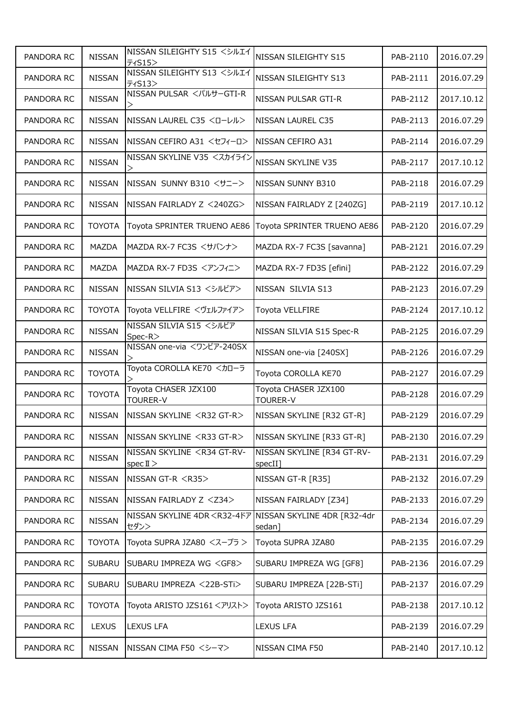| PANDORA RC | <b>NISSAN</b> | NISSAN SILEIGHTY S15 <シルエイ<br>ティS15>                                     | NISSAN SILEIGHTY S15                    | PAB-2110 | 2016.07.29 |
|------------|---------------|--------------------------------------------------------------------------|-----------------------------------------|----------|------------|
| PANDORA RC | <b>NISSAN</b> | NISSAN SILEIGHTY S13 <シルエイ<br>F1S13>                                     | NISSAN SILEIGHTY S13                    | PAB-2111 | 2016.07.29 |
| PANDORA RC | <b>NISSAN</b> | NISSAN PULSAR <パルサーGTI-R                                                 | NISSAN PULSAR GTI-R                     | PAB-2112 | 2017.10.12 |
| PANDORA RC | <b>NISSAN</b> | NISSAN LAUREL C35 <d-レル></d-レル>                                          | NISSAN LAUREL C35                       | PAB-2113 | 2016.07.29 |
| PANDORA RC | <b>NISSAN</b> | NISSAN CEFIRO A31 <セフィーロ>                                                | NISSAN CEFIRO A31                       | PAB-2114 | 2016.07.29 |
| PANDORA RC | <b>NISSAN</b> | NISSAN SKYLINE V35 <スカイライン                                               | <b>NISSAN SKYLINE V35</b>               | PAB-2117 | 2017.10.12 |
| PANDORA RC | <b>NISSAN</b> | NISSAN SUNNY B310 <サニー>                                                  | NISSAN SUNNY B310                       | PAB-2118 | 2016.07.29 |
| PANDORA RC | <b>NISSAN</b> | NISSAN FAIRLADY Z <240ZG>                                                | NISSAN FAIRLADY Z [240ZG]               | PAB-2119 | 2017.10.12 |
| PANDORA RC | <b>TOYOTA</b> | Toyota SPRINTER TRUENO AE86                                              | Toyota SPRINTER TRUENO AE86             | PAB-2120 | 2016.07.29 |
| PANDORA RC | MAZDA         | MAZDA RX-7 FC3S くサバンナ>                                                   | MAZDA RX-7 FC3S [savanna]               | PAB-2121 | 2016.07.29 |
| PANDORA RC | MAZDA         | MAZDA RX-7 FD3S <アンフィニ>                                                  | MAZDA RX-7 FD3S [efini]                 | PAB-2122 | 2016.07.29 |
| PANDORA RC | <b>NISSAN</b> | NISSAN SILVIA S13 <シルビア>                                                 | NISSAN SILVIA S13                       | PAB-2123 | 2016.07.29 |
| PANDORA RC | <b>TOYOTA</b> | Toyota VELLFIRE <ヴェルファイア>                                                | Toyota VELLFIRE                         | PAB-2124 | 2017.10.12 |
| PANDORA RC | <b>NISSAN</b> | NISSAN SILVIA S15 <シルビア<br>Spec-R>                                       | NISSAN SILVIA S15 Spec-R                | PAB-2125 | 2016.07.29 |
| PANDORA RC | <b>NISSAN</b> | NISSAN one-via <ワンビア-240SX                                               | NISSAN one-via [240SX]                  | PAB-2126 | 2016.07.29 |
| PANDORA RC | <b>TOYOTA</b> | Toyota COROLLA KE70 <カローラ                                                | Toyota COROLLA KE70                     | PAB-2127 | 2016.07.29 |
| PANDORA RC | <b>TOYOTA</b> | Toyota CHASER JZX100<br>TOURER-V                                         | Toyota CHASER JZX100<br><b>TOURER-V</b> | PAB-2128 | 2016.07.29 |
| PANDORA RC | <b>NISSAN</b> | NISSAN SKYLINE <r32 gt-r=""></r32>                                       | NISSAN SKYLINE [R32 GT-R]               | PAB-2129 | 2016.07.29 |
| PANDORA RC | <b>NISSAN</b> | NISSAN SKYLINE <r33 gt-r=""></r33>                                       | NISSAN SKYLINE [R33 GT-R]               | PAB-2130 | 2016.07.29 |
| PANDORA RC | <b>NISSAN</b> | NISSAN SKYLINE <r34 gt-rv-<br="">spec <math>\mathbb{I}</math> &gt;</r34> | NISSAN SKYLINE [R34 GT-RV-<br>specII]   | PAB-2131 | 2016.07.29 |
| PANDORA RC | <b>NISSAN</b> | NISSAN GT-R <r35></r35>                                                  | NISSAN GT-R [R35]                       | PAB-2132 | 2016.07.29 |
| PANDORA RC | <b>NISSAN</b> | NISSAN FAIRLADY Z <z34></z34>                                            | NISSAN FAIRLADY [Z34]                   | PAB-2133 | 2016.07.29 |
| PANDORA RC | <b>NISSAN</b> | NISSAN SKYLINE 4DR <r32-4ドア<br>セダン&gt;</r32-4ドア<br>                      | NISSAN SKYLINE 4DR [R32-4dr<br>sedan]   | PAB-2134 | 2016.07.29 |
| PANDORA RC | <b>TOYOTA</b> | Toyota SUPRA JZA80 <スープラ >                                               | Toyota SUPRA JZA80                      | PAB-2135 | 2016.07.29 |
| PANDORA RC | <b>SUBARU</b> | SUBARU IMPREZA WG <gf8></gf8>                                            | SUBARU IMPREZA WG [GF8]                 | PAB-2136 | 2016.07.29 |
| PANDORA RC | <b>SUBARU</b> | SUBARU IMPREZA <22B-STi>                                                 | SUBARU IMPREZA [22B-STi]                | PAB-2137 | 2016.07.29 |
| PANDORA RC | <b>TOYOTA</b> | Toyota ARISTO JZS161 <アリスト>                                              | Toyota ARISTO JZS161                    | PAB-2138 | 2017.10.12 |
| PANDORA RC | <b>LEXUS</b>  | <b>LEXUS LFA</b>                                                         | LEXUS LFA                               | PAB-2139 | 2016.07.29 |
| PANDORA RC | <b>NISSAN</b> | NISSAN CIMA F50 <シーマ>                                                    | NISSAN CIMA F50                         | PAB-2140 | 2017.10.12 |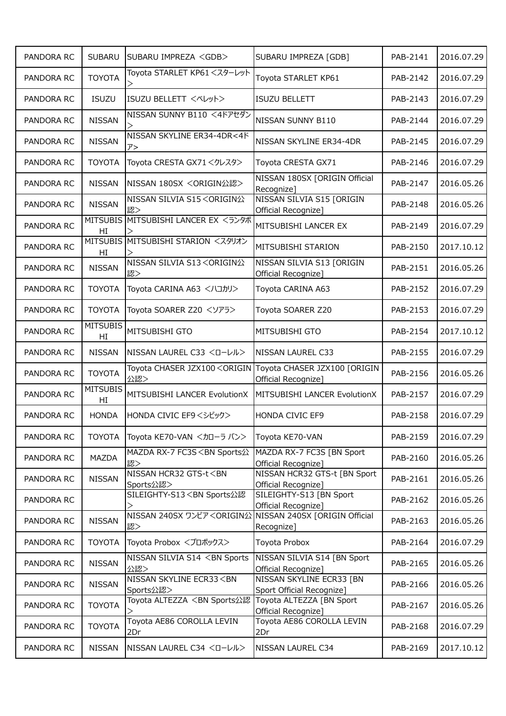| PANDORA RC | <b>SUBARU</b>         | SUBARU IMPREZA <gdb></gdb>                                                                                                               | SUBARU IMPREZA [GDB]                                                                                  | PAB-2141 | 2016.07.29 |
|------------|-----------------------|------------------------------------------------------------------------------------------------------------------------------------------|-------------------------------------------------------------------------------------------------------|----------|------------|
| PANDORA RC | <b>TOYOTA</b>         | Toyota STARLET KP61 <スターレット                                                                                                              | Toyota STARLET KP61                                                                                   | PAB-2142 | 2016.07.29 |
| PANDORA RC | <b>ISUZU</b>          | ISUZU BELLETT <ベレット>                                                                                                                     | <b>ISUZU BELLETT</b>                                                                                  | PAB-2143 | 2016.07.29 |
| PANDORA RC | <b>NISSAN</b>         | NISSAN SUNNY B110 <4ドアセダン                                                                                                                | NISSAN SUNNY B110                                                                                     | PAB-2144 | 2016.07.29 |
| PANDORA RC | <b>NISSAN</b>         | NISSAN SKYLINE ER34-4DR<4F<br>$\n  T$                                                                                                    | NISSAN SKYLINE ER34-4DR                                                                               | PAB-2145 | 2016.07.29 |
| PANDORA RC | <b>TOYOTA</b>         | Toyota CRESTA GX71 <クレスタ>                                                                                                                | Toyota CRESTA GX71                                                                                    | PAB-2146 | 2016.07.29 |
| PANDORA RC | <b>NISSAN</b>         | NISSAN 180SX <origin公認></origin公認>                                                                                                       | NISSAN 180SX [ORIGIN Official<br>Recognize]                                                           | PAB-2147 | 2016.05.26 |
| PANDORA RC | <b>NISSAN</b>         | NISSAN SILVIA S15 <origin公<br>認&gt;</origin公<br>                                                                                         | NISSAN SILVIA S15 [ORIGIN<br>Official Recognize]                                                      | PAB-2148 | 2016.05.26 |
| PANDORA RC | HI                    | MITSUBIS MITSUBISHI LANCER EX <ランタボ                                                                                                      | MITSUBISHI LANCER EX                                                                                  | PAB-2149 | 2016.07.29 |
| PANDORA RC | HI                    | MITSUBIS MITSUBISHI STARION <スタリオン                                                                                                       | MITSUBISHI STARION                                                                                    | PAB-2150 | 2017.10.12 |
| PANDORA RC | <b>NISSAN</b>         | <b>NISSAN SILVIA S13 <origin公< b=""><br/>認&gt;</origin公<></b>                                                                            | NISSAN SILVIA S13 [ORIGIN<br>Official Recognize]                                                      | PAB-2151 | 2016.05.26 |
| PANDORA RC | <b>TOYOTA</b>         | Toyota CARINA A63 <ハコカリ>                                                                                                                 | Toyota CARINA A63                                                                                     | PAB-2152 | 2016.07.29 |
| PANDORA RC | <b>TOYOTA</b>         | Toyota SOARER Z20 <ソアラ>                                                                                                                  | Toyota SOARER Z20                                                                                     | PAB-2153 | 2016.07.29 |
| PANDORA RC | <b>MITSUBIS</b><br>HI | MITSUBISHI GTO                                                                                                                           | MITSUBISHI GTO                                                                                        | PAB-2154 | 2017.10.12 |
| PANDORA RC | <b>NISSAN</b>         | NISSAN LAUREL C33 <d-レル></d-レル>                                                                                                          | <b>NISSAN LAUREL C33</b>                                                                              | PAB-2155 | 2016.07.29 |
| PANDORA RC | <b>TOYOTA</b>         | 公認>                                                                                                                                      | Toyota CHASER JZX100 <origin [origin<br="" chaser="" jzx100="" toyota="">Official Recognize]</origin> | PAB-2156 | 2016.05.26 |
| PANDORA RC | <b>MITSUBIS</b><br>HI | MITSUBISHI LANCER EvolutionX                                                                                                             | MITSUBISHI LANCER EvolutionX                                                                          | PAB-2157 | 2016.07.29 |
| PANDORA RC | <b>HONDA</b>          | HONDA CIVIC EF9 <シビック>                                                                                                                   | <b>HONDA CIVIC EF9</b>                                                                                | PAB-2158 | 2016.07.29 |
| PANDORA RC | <b>TOYOTA</b>         | Toyota KE70-VAN <カローラ バン>                                                                                                                | Toyota KE70-VAN                                                                                       | PAB-2159 | 2016.07.29 |
| PANDORA RC | <b>MAZDA</b>          | MAZDA RX-7 FC3S <bn sports公<br="">認&gt;</bn>                                                                                             | MAZDA RX-7 FC3S [BN Sport<br>Official Recognize]                                                      | PAB-2160 | 2016.05.26 |
| PANDORA RC | <b>NISSAN</b>         | NISSAN HCR32 GTS-t <bn<br>Sports公認&gt;</bn<br>                                                                                           | NISSAN HCR32 GTS-t [BN Sport<br>Official Recognize]                                                   | PAB-2161 | 2016.05.26 |
| PANDORA RC |                       | SILEIGHTY-S13 <bn sports公認<="" td=""><td>SILEIGHTY-S13 [BN Sport<br/>Official Recognize]</td><td>PAB-2162</td><td>2016.05.26</td></bn>   | SILEIGHTY-S13 [BN Sport<br>Official Recognize]                                                        | PAB-2162 | 2016.05.26 |
| PANDORA RC | <b>NISSAN</b>         | NISSAN 240SX ワンビア <origin公 240sx="" [origin="" nissan="" official<br="">認&gt;</origin公>                                                  | Recognize]                                                                                            | PAB-2163 | 2016.05.26 |
| PANDORA RC | <b>TOYOTA</b>         | Toyota Probox <プロボックス>                                                                                                                   | Toyota Probox                                                                                         | PAB-2164 | 2016.07.29 |
| PANDORA RC | <b>NISSAN</b>         | NISSAN SILVIA S14 <bn sports<br="">公認&gt;</bn>                                                                                           | NISSAN SILVIA S14 [BN Sport<br>Official Recognize]                                                    | PAB-2165 | 2016.05.26 |
| PANDORA RC | <b>NISSAN</b>         | NISSAN SKYLINE ECR33 <bn<br>Sports公認&gt;</bn<br>                                                                                         | NISSAN SKYLINE ECR33 [BN<br>Sport Official Recognize]                                                 | PAB-2166 | 2016.05.26 |
| PANDORA RC | <b>TOYOTA</b>         | Toyota ALTEZZA <bn sports公認<="" td=""><td>Toyota ALTEZZA [BN Sport<br/>Official Recognize]</td><td>PAB-2167</td><td>2016.05.26</td></bn> | Toyota ALTEZZA [BN Sport<br>Official Recognize]                                                       | PAB-2167 | 2016.05.26 |
| PANDORA RC | <b>TOYOTA</b>         | Toyota AE86 COROLLA LEVIN<br>2Dr                                                                                                         | Toyota AE86 COROLLA LEVIN<br>2Dr                                                                      | PAB-2168 | 2016.07.29 |
| PANDORA RC | <b>NISSAN</b>         | NISSAN LAUREL C34 <ローレル>                                                                                                                 | NISSAN LAUREL C34                                                                                     | PAB-2169 | 2017.10.12 |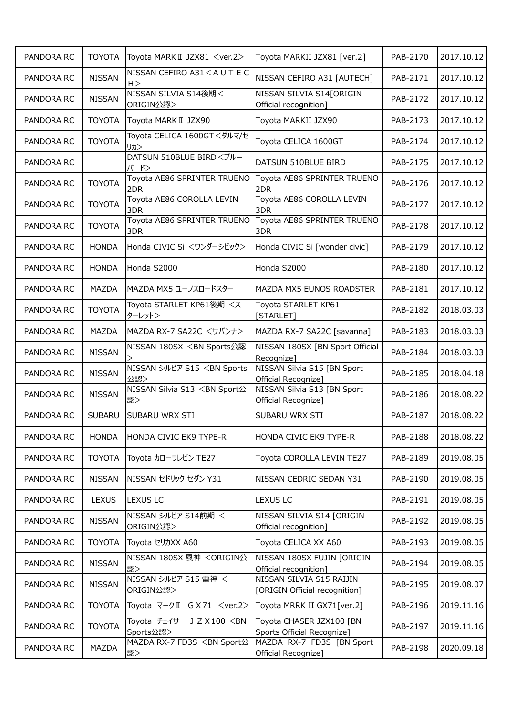| PANDORA RC | <b>TOYOTA</b> | Toyota MARK II JZX81 <ver.2></ver.2>                                                                                                 | Toyota MARKII JZX81 [ver.2]                               | PAB-2170 | 2017.10.12 |
|------------|---------------|--------------------------------------------------------------------------------------------------------------------------------------|-----------------------------------------------------------|----------|------------|
| PANDORA RC | <b>NISSAN</b> | NISSAN CEFIRO A31 < A U T E C<br>H >                                                                                                 | NISSAN CEFIRO A31 [AUTECH]                                | PAB-2171 | 2017.10.12 |
| PANDORA RC | <b>NISSAN</b> | NISSAN SILVIA S14後期く<br>ORIGIN公認>                                                                                                    | NISSAN SILVIA S14 [ORIGIN<br>Official recognition]        | PAB-2172 | 2017.10.12 |
| PANDORA RC | <b>TOYOTA</b> | Toyota MARK II JZX90                                                                                                                 | Toyota MARKII JZX90                                       | PAB-2173 | 2017.10.12 |
| PANDORA RC | <b>TOYOTA</b> | Toyota CELICA 1600GT くダルマ/セ<br>リカ>                                                                                                   | Toyota CELICA 1600GT                                      | PAB-2174 | 2017.10.12 |
| PANDORA RC |               | DATSUN 510BLUE BIRD <ブルー<br>バード>                                                                                                     | DATSUN 510BLUE BIRD                                       | PAB-2175 | 2017.10.12 |
| PANDORA RC | <b>TOYOTA</b> | Toyota AE86 SPRINTER TRUENO<br>2DR                                                                                                   | Toyota AE86 SPRINTER TRUENO<br>2DR                        | PAB-2176 | 2017.10.12 |
| PANDORA RC | <b>TOYOTA</b> | Toyota AE86 COROLLA LEVIN<br>3DR                                                                                                     | Toyota AE86 COROLLA LEVIN<br>3DR                          | PAB-2177 | 2017.10.12 |
| PANDORA RC | <b>TOYOTA</b> | Toyota AE86 SPRINTER TRUENO<br>3DR                                                                                                   | Toyota AE86 SPRINTER TRUENO<br>3DR                        | PAB-2178 | 2017.10.12 |
| PANDORA RC | <b>HONDA</b>  | Honda CIVIC Si <ワンダーシビック>                                                                                                            | Honda CIVIC Si [wonder civic]                             | PAB-2179 | 2017.10.12 |
| PANDORA RC | <b>HONDA</b>  | Honda S2000                                                                                                                          | Honda S2000                                               | PAB-2180 | 2017.10.12 |
| PANDORA RC | MAZDA         | MAZDA MX5 ユーノスロードスター                                                                                                                 | MAZDA MX5 EUNOS ROADSTER                                  | PAB-2181 | 2017.10.12 |
| PANDORA RC | <b>TOYOTA</b> | Toyota STARLET KP61後期 <ス<br>ターレット>                                                                                                   | Toyota STARLET KP61<br>[STARLET]                          | PAB-2182 | 2018.03.03 |
| PANDORA RC | MAZDA         | MAZDA RX-7 SA22C <サバンナ>                                                                                                              | MAZDA RX-7 SA22C [savanna]                                | PAB-2183 | 2018.03.03 |
| PANDORA RC | <b>NISSAN</b> | NISSAN 180SX <bn sports公認<="" td=""><td>NISSAN 180SX [BN Sport Official<br/>Recognize]</td><td>PAB-2184</td><td>2018.03.03</td></bn> | NISSAN 180SX [BN Sport Official<br>Recognize]             | PAB-2184 | 2018.03.03 |
| PANDORA RC | <b>NISSAN</b> | NISSAN シルビア S15 <bn sports<br="">公認&gt;</bn>                                                                                         | NISSAN Silvia S15 [BN Sport<br>Official Recognize]        | PAB-2185 | 2018.04.18 |
| PANDORA RC | <b>NISSAN</b> | NISSAN Silvia S13 <bn sport公<br="">認&gt;</bn>                                                                                        | NISSAN Silvia S13 [BN Sport<br>Official Recognize]        | PAB-2186 | 2018.08.22 |
| PANDORA RC | <b>SUBARU</b> | <b>SUBARU WRX STI</b>                                                                                                                | SUBARU WRX STI                                            | PAB-2187 | 2018.08.22 |
| PANDORA RC | <b>HONDA</b>  | HONDA CIVIC EK9 TYPE-R                                                                                                               | HONDA CIVIC EK9 TYPE-R                                    | PAB-2188 | 2018.08.22 |
| PANDORA RC | <b>TOYOTA</b> | Toyota カローラレビン TE27                                                                                                                  | Toyota COROLLA LEVIN TE27                                 | PAB-2189 | 2019.08.05 |
| PANDORA RC | <b>NISSAN</b> | NISSAN セドリック セダン Y31                                                                                                                 | NISSAN CEDRIC SEDAN Y31                                   | PAB-2190 | 2019.08.05 |
| PANDORA RC | <b>LEXUS</b>  | <b>LEXUS LC</b>                                                                                                                      | <b>LEXUS LC</b>                                           | PAB-2191 | 2019.08.05 |
| PANDORA RC | <b>NISSAN</b> | NISSAN シルビア S14前期 く<br>ORIGIN公認>                                                                                                     | NISSAN SILVIA S14 [ORIGIN<br>Official recognition]        | PAB-2192 | 2019.08.05 |
| PANDORA RC | <b>TOYOTA</b> | Toyota セリカXX A60                                                                                                                     | Toyota CELICA XX A60                                      | PAB-2193 | 2019.08.05 |
| PANDORA RC | <b>NISSAN</b> | NISSAN 180SX 風神 <origin公<br>認&gt;</origin公<br>                                                                                       | NISSAN 180SX FUJIN [ORIGIN<br>Official recognition]       | PAB-2194 | 2019.08.05 |
| PANDORA RC | <b>NISSAN</b> | NISSAN シルビア S15 雷神 く<br>ORIGIN公認>                                                                                                    | NISSAN SILVIA S15 RAIJIN<br>[ORIGIN Official recognition] | PAB-2195 | 2019.08.07 |
| PANDORA RC | <b>TOYOTA</b> | Toyota マークⅡ G X 71 <ver.2></ver.2>                                                                                                   | Toyota MRRK II GX71[ver.2]                                | PAB-2196 | 2019.11.16 |
| PANDORA RC | <b>TOYOTA</b> | Toyota チェイサー J Z X 100 <bn<br>Sports公認&gt;</bn<br>                                                                                   | Toyota CHASER JZX100 [BN<br>Sports Official Recognize]    | PAB-2197 | 2019.11.16 |
| PANDORA RC | MAZDA         | MAZDA RX-7 FD3S <bn sport公<br="">認&gt;</bn>                                                                                          | MAZDA RX-7 FD3S [BN Sport<br>Official Recognize]          | PAB-2198 | 2020.09.18 |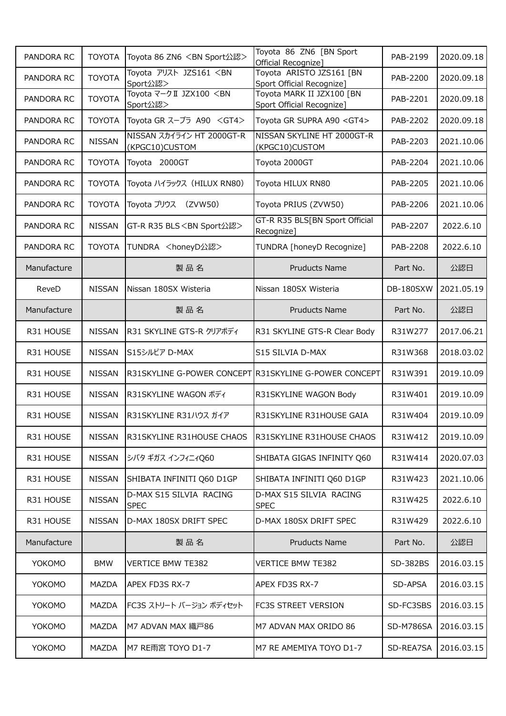| PANDORA RC  | <b>TOYOTA</b> | Toyota 86 ZN6 <bn sport公認=""></bn>            | Toyota 86 ZN6 [BN Sport<br>Official Recognize]         | PAB-2199  | 2020.09.18 |
|-------------|---------------|-----------------------------------------------|--------------------------------------------------------|-----------|------------|
| PANDORA RC  | <b>TOYOTA</b> | Toyota アリスト JZS161 <bn<br>Sport公認&gt;</bn<br> | Toyota ARISTO JZS161 [BN<br>Sport Official Recognize]  | PAB-2200  | 2020.09.18 |
| PANDORA RC  | <b>TOYOTA</b> | Toyota マークⅡ JZX100 <bn<br>Sport公認&gt;</bn<br> | Toyota MARK II JZX100 [BN<br>Sport Official Recognize] | PAB-2201  | 2020.09.18 |
| PANDORA RC  | <b>TOYOTA</b> | Toyota GR スープラ A90 <gt4></gt4>                | Toyota GR SUPRA A90 <gt4></gt4>                        | PAB-2202  | 2020.09.18 |
| PANDORA RC  | <b>NISSAN</b> | NISSAN スカイライン HT 2000GT-R<br>(KPGC10)CUSTOM   | NISSAN SKYLINE HT 2000GT-R<br>(KPGC10)CUSTOM           | PAB-2203  | 2021.10.06 |
| PANDORA RC  | <b>TOYOTA</b> | Toyota 2000GT                                 | Toyota 2000GT                                          | PAB-2204  | 2021.10.06 |
| PANDORA RC  | <b>TOYOTA</b> | Toyota ハイラックス (HILUX RN80)                    | Toyota HILUX RN80                                      | PAB-2205  | 2021.10.06 |
| PANDORA RC  | <b>TOYOTA</b> | Toyota プリウス<br>(ZVW50)                        | Toyota PRIUS (ZVW50)                                   | PAB-2206  | 2021.10.06 |
| PANDORA RC  | <b>NISSAN</b> | GT-R R35 BLS <bn sport公認=""></bn>             | GT-R R35 BLS[BN Sport Official<br>Recognize]           | PAB-2207  | 2022.6.10  |
| PANDORA RC  | <b>TOYOTA</b> | TUNDRA <honeyd公認></honeyd公認>                  | TUNDRA [honeyD Recognize]                              | PAB-2208  | 2022.6.10  |
| Manufacture |               | 製品名                                           | <b>Pruducts Name</b>                                   | Part No.  | 公認日        |
| ReveD       | <b>NISSAN</b> | Nissan 180SX Wisteria                         | Nissan 180SX Wisteria                                  | DB-180SXW | 2021.05.19 |
| Manufacture |               | 製品名                                           | <b>Pruducts Name</b>                                   | Part No.  | 公認日        |
| R31 HOUSE   | <b>NISSAN</b> | R31 SKYLINE GTS-R クリアボディ                      | R31 SKYLINE GTS-R Clear Body                           | R31W277   | 2017.06.21 |
| R31 HOUSE   | <b>NISSAN</b> | S15シルビア D-MAX                                 | S15 SILVIA D-MAX                                       | R31W368   | 2018.03.02 |
| R31 HOUSE   | <b>NISSAN</b> |                                               | R31SKYLINE G-POWER CONCEPT R31SKYLINE G-POWER CONCEPT  | R31W391   | 2019.10.09 |
| R31 HOUSE   | <b>NISSAN</b> | R31SKYLINE WAGON ボディ                          | R31SKYLINE WAGON Body                                  | R31W401   | 2019.10.09 |
| R31 HOUSE   | <b>NISSAN</b> | R31SKYLINE R31ハウス ガイア                         | R31SKYLINE R31HOUSE GAIA                               | R31W404   | 2019.10.09 |
| R31 HOUSE   | <b>NISSAN</b> | R31SKYLINE R31HOUSE CHAOS                     | R31SKYLINE R31HOUSE CHAOS                              | R31W412   | 2019.10.09 |
| R31 HOUSE   | <b>NISSAN</b> | シバタ ギガス インフィニィQ60                             | SHIBATA GIGAS INFINITY Q60                             | R31W414   | 2020.07.03 |
| R31 HOUSE   | <b>NISSAN</b> | SHIBATA INFINITI Q60 D1GP                     | SHIBATA INFINITI Q60 D1GP                              | R31W423   | 2021.10.06 |
| R31 HOUSE   | <b>NISSAN</b> | D-MAX S15 SILVIA RACING<br><b>SPEC</b>        | D-MAX S15 SILVIA RACING<br><b>SPEC</b>                 | R31W425   | 2022.6.10  |
| R31 HOUSE   | <b>NISSAN</b> | D-MAX 180SX DRIFT SPEC                        | D-MAX 180SX DRIFT SPEC                                 | R31W429   | 2022.6.10  |
| Manufacture |               | 製品名                                           | <b>Pruducts Name</b>                                   | Part No.  | 公認日        |
| YOKOMO      | <b>BMW</b>    | VERTICE BMW TE382                             | <b>VERTICE BMW TE382</b>                               | SD-382BS  | 2016.03.15 |
| YOKOMO      | MAZDA         | APEX FD3S RX-7                                | APEX FD3S RX-7                                         | SD-APSA   | 2016.03.15 |
| YOKOMO      | MAZDA         | FC3S ストリート バージョン ボディセット                       | <b>FC3S STREET VERSION</b>                             | SD-FC3SBS | 2016.03.15 |
| YOKOMO      | MAZDA         | M7 ADVAN MAX 織戸86                             | M7 ADVAN MAX ORIDO 86                                  | SD-M786SA | 2016.03.15 |
| YOKOMO      | MAZDA         | M7 RE雨宮 TOYO D1-7                             | M7 RE AMEMIYA TOYO D1-7                                | SD-REA7SA | 2016.03.15 |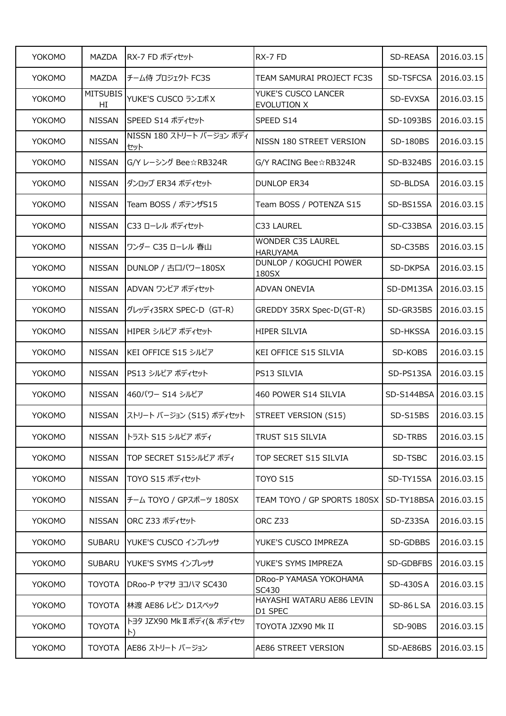| <b>YOKOMO</b> | <b>MAZDA</b>          | RX-7 FD ボディセット                           | RX-7 FD                                     | SD-REASA       | 2016.03.15 |
|---------------|-----------------------|------------------------------------------|---------------------------------------------|----------------|------------|
| YOKOMO        | MAZDA                 | チーム侍 プロジェクト FC3S                         | <b>TEAM SAMURAI PROJECT FC3S</b>            | SD-TSFCSA      | 2016.03.15 |
| <b>YOKOMO</b> | <b>MITSUBIS</b><br>HI | YUKE'S CUSCO ランエボ X                      | YUKE'S CUSCO LANCER<br><b>EVOLUTION X</b>   | SD-EVXSA       | 2016.03.15 |
| YOKOMO        | <b>NISSAN</b>         | SPEED S14 ボディセット                         | SPEED S14                                   | SD-1093BS      | 2016.03.15 |
| YOKOMO        | <b>NISSAN</b>         | NISSN 180 ストリート バージョン ボディ<br>セット         | NISSN 180 STREET VERSION                    | SD-180BS       | 2016.03.15 |
| YOKOMO        | <b>NISSAN</b>         | G/Y レーシング Bee☆RB324R                     | G/Y RACING Bee☆RB324R                       | SD-B324BS      | 2016.03.15 |
| YOKOMO        | <b>NISSAN</b>         | ダンロップ ER34 ボディセット                        | <b>DUNLOP ER34</b>                          | SD-BLDSA       | 2016.03.15 |
| YOKOMO        | <b>NISSAN</b>         | Team BOSS / ポテンザS15                      | Team BOSS / POTENZA S15                     | SD-BS15SA      | 2016.03.15 |
| YOKOMO        | <b>NISSAN</b>         | C33 ローレル ボディセット                          | C33 LAUREL                                  | SD-C33BSA      | 2016.03.15 |
| YOKOMO        | <b>NISSAN</b>         | ワンダー C35 ローレル 春山                         | <b>WONDER C35 LAUREL</b><br><b>HARUYAMA</b> | SD-C35BS       | 2016.03.15 |
| <b>YOKOMO</b> | <b>NISSAN</b>         | DUNLOP / 古口パワー180SX                      | <b>DUNLOP / KOGUCHI POWER</b><br>180SX      | SD-DKPSA       | 2016.03.15 |
| <b>YOKOMO</b> | <b>NISSAN</b>         | ADVAN ワンビア ボディセット                        | <b>ADVAN ONEVIA</b>                         | SD-DM13SA      | 2016.03.15 |
| <b>YOKOMO</b> | <b>NISSAN</b>         | グレッディ35RX SPEC-D (GT-R)                  | GREDDY 35RX Spec-D(GT-R)                    | SD-GR35BS      | 2016.03.15 |
| YOKOMO        | <b>NISSAN</b>         | HIPER シルビア ボディセット                        | <b>HIPER SILVIA</b>                         | SD-HKSSA       | 2016.03.15 |
| YOKOMO        | <b>NISSAN</b>         | KEI OFFICE S15 シルビア                      | <b>KEI OFFICE S15 SILVIA</b>                | SD-KOBS        | 2016.03.15 |
| YOKOMO        | <b>NISSAN</b>         | PS13 シルビア ボディセット                         | PS13 SILVIA                                 | SD-PS13SA      | 2016.03.15 |
| <b>YOKOMO</b> | <b>NISSAN</b>         | 460パワー S14 シルビア                          | 460 POWER S14 SILVIA                        | SD-S144BSA     | 2016.03.15 |
| YOKOMO        | <b>NISSAN</b>         | ストリート バージョン (S15) ボディセット                 | STREET VERSION (S15)                        | SD-S15BS       | 2016.03.15 |
| YOKOMO        | <b>NISSAN</b>         | トラスト S15 シルビア ボディ                        | TRUST S15 SILVIA                            | SD-TRBS        | 2016.03.15 |
| YOKOMO        | <b>NISSAN</b>         | TOP SECRET S15シルビア ボディ                   | TOP SECRET S15 SILVIA                       | SD-TSBC        | 2016.03.15 |
| YOKOMO        | <b>NISSAN</b>         | TOYO S15 ボディセット                          | <b>TOYO S15</b>                             | SD-TY15SA      | 2016.03.15 |
| YOKOMO        | <b>NISSAN</b>         | チーム TOYO / GPスポーツ 180SX                  | TEAM TOYO / GP SPORTS 180SX                 | SD-TY18BSA     | 2016.03.15 |
| YOKOMO        | <b>NISSAN</b>         | ORC Z33 ボディセット                           | ORC Z33                                     | SD-Z33SA       | 2016.03.15 |
| YOKOMO        | <b>SUBARU</b>         | YUKE'S CUSCO インプレッサ                      | YUKE'S CUSCO IMPREZA                        | SD-GDBBS       | 2016.03.15 |
| YOKOMO        | <b>SUBARU</b>         | YUKE'S SYMS インプレッサ                       | YUKE'S SYMS IMPREZA                         | SD-GDBFBS      | 2016.03.15 |
| YOKOMO        | <b>TOYOTA</b>         | DRoo-P ヤマサ ヨコハマ SC430                    | DRoo-P YAMASA YOKOHAMA<br>SC430             | SD-430SA       | 2016.03.15 |
| YOKOMO        | <b>TOYOTA</b>         | 林渡 AE86 レビン D1スペック                       | HAYASHI WATARU AE86 LEVIN<br>D1 SPEC        | SD-86LSA       | 2016.03.15 |
| YOKOMO        | <b>TOYOTA</b>         | トヨタ JZX90 Mk II ボディ(& ボディセッ<br>$\ket{b}$ | TOYOTA JZX90 Mk II                          | <b>SD-90BS</b> | 2016.03.15 |
| YOKOMO        | <b>TOYOTA</b>         | AE86 ストリート バージョン                         | AE86 STREET VERSION                         | SD-AE86BS      | 2016.03.15 |